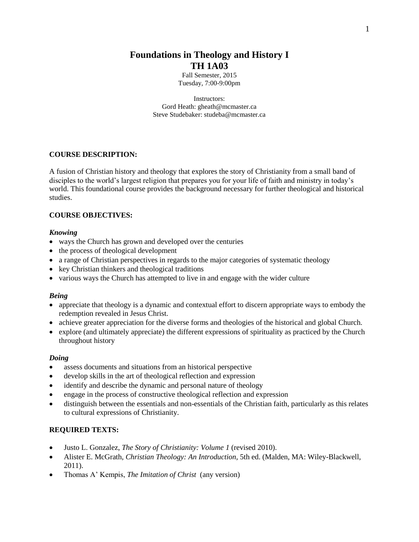# **Foundations in Theology and History I TH 1A03**

Fall Semester, 2015 Tuesday, 7:00-9:00pm

Instructors: Gord Heath: [gheath@mcmaster.ca](mailto:gheath@mcmaster.ca) Steve Studebaker: studeba@mcmaster.ca

# **COURSE DESCRIPTION:**

A fusion of Christian history and theology that explores the story of Christianity from a small band of disciples to the world's largest religion that prepares you for your life of faith and ministry in today's world. This foundational course provides the background necessary for further theological and historical studies.

## **COURSE OBJECTIVES:**

## *Knowing*

- ways the Church has grown and developed over the centuries
- the process of theological development
- a range of Christian perspectives in regards to the major categories of systematic theology
- key Christian thinkers and theological traditions
- various ways the Church has attempted to live in and engage with the wider culture

## *Being*

- appreciate that theology is a dynamic and contextual effort to discern appropriate ways to embody the redemption revealed in Jesus Christ.
- achieve greater appreciation for the diverse forms and theologies of the historical and global Church.
- explore (and ultimately appreciate) the different expressions of spirituality as practiced by the Church throughout history

## *Doing*

- assess documents and situations from an historical perspective
- develop skills in the art of theological reflection and expression
- identify and describe the dynamic and personal nature of theology
- engage in the process of constructive theological reflection and expression
- distinguish between the essentials and non-essentials of the Christian faith, particularly as this relates to cultural expressions of Christianity.

## **REQUIRED TEXTS:**

- Justo L. Gonzalez, *The Story of Christianity: Volume 1* (revised 2010).
- Alister E. McGrath, *Christian Theology: An Introduction*, 5th ed. (Malden, MA: Wiley-Blackwell, 2011).
- Thomas A' Kempis, *The Imitation of Christ* (any version)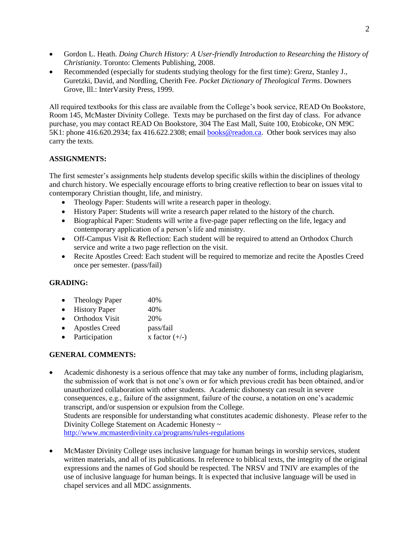- Gordon L. Heath. *Doing Church History: A User-friendly Introduction to Researching the History of Christianity*. Toronto: Clements Publishing, 2008.
- Recommended (especially for students studying theology for the first time): Grenz, Stanley J., Guretzki, David, and Nordling, Cherith Fee. *Pocket Dictionary of Theological Terms*. Downers Grove, Ill.: InterVarsity Press, 1999.

All required textbooks for this class are available from the College's book service, READ On Bookstore, Room 145, McMaster Divinity College. Texts may be purchased on the first day of class. For advance purchase, you may contact READ On Bookstore, 304 The East Mall, Suite 100, Etobicoke, ON M9C 5K1: phone 416.620.2934; fax 416.622.2308; email [books@readon.ca.](mailto:books@readon.ca) Other book services may also carry the texts.

# **ASSIGNMENTS:**

The first semester's assignments help students develop specific skills within the disciplines of theology and church history. We especially encourage efforts to bring creative reflection to bear on issues vital to contemporary Christian thought, life, and ministry.

- Theology Paper: Students will write a research paper in theology.
- History Paper: Students will write a research paper related to the history of the church.
- Biographical Paper: Students will write a five-page paper reflecting on the life, legacy and contemporary application of a person's life and ministry.
- Off-Campus Visit & Reflection: Each student will be required to attend an Orthodox Church service and write a two page reflection on the visit.
- Recite Apostles Creed: Each student will be required to memorize and recite the Apostles Creed once per semester. (pass/fail)

## **GRADING:**

- Theology Paper 40%
- History Paper 40%
- Orthodox Visit 20%
- Apostles Creed pass/fail
- Participation  $x$  factor  $(+/-)$

# **GENERAL COMMENTS:**

- Academic dishonesty is a serious offence that may take any number of forms, including plagiarism, the submission of work that is not one's own or for which previous credit has been obtained, and/or unauthorized collaboration with other students. Academic dishonesty can result in severe consequences, e.g., failure of the assignment, failure of the course, a notation on one's academic transcript, and/or suspension or expulsion from the College. Students are responsible for understanding what constitutes academic dishonesty. Please refer to the Divinity College Statement on Academic Honesty ~ <http://www.mcmasterdivinity.ca/programs/rules-regulations>
- McMaster Divinity College uses inclusive language for human beings in worship services, student written materials, and all of its publications. In reference to biblical texts, the integrity of the original expressions and the names of God should be respected. The NRSV and TNIV are examples of the use of inclusive language for human beings. It is expected that inclusive language will be used in chapel services and all MDC assignments.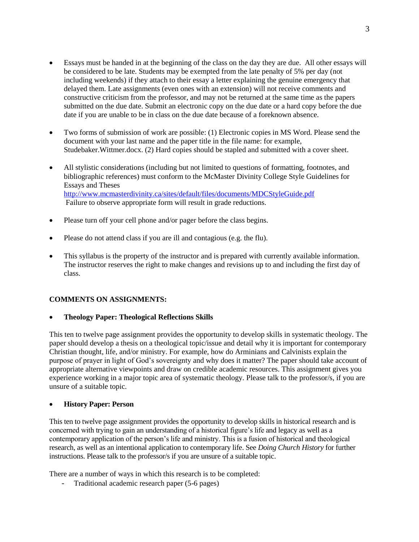- Essays must be handed in at the beginning of the class on the day they are due. All other essays will be considered to be late. Students may be exempted from the late penalty of 5% per day (not including weekends) if they attach to their essay a letter explaining the genuine emergency that delayed them. Late assignments (even ones with an extension) will not receive comments and constructive criticism from the professor, and may not be returned at the same time as the papers submitted on the due date. Submit an electronic copy on the due date or a hard copy before the due date if you are unable to be in class on the due date because of a foreknown absence.
- Two forms of submission of work are possible: (1) Electronic copies in MS Word. Please send the document with your last name and the paper title in the file name: for example, Studebaker.Wittmer.docx. (2) Hard copies should be stapled and submitted with a cover sheet.
- All stylistic considerations (including but not limited to questions of formatting, footnotes, and bibliographic references) must conform to the McMaster Divinity College Style Guidelines for Essays and Theses <http://www.mcmasterdivinity.ca/sites/default/files/documents/MDCStyleGuide.pdf> Failure to observe appropriate form will result in grade reductions.
- Please turn off your cell phone and/or pager before the class begins.
- Please do not attend class if you are ill and contagious (e.g. the flu).
- This syllabus is the property of the instructor and is prepared with currently available information. The instructor reserves the right to make changes and revisions up to and including the first day of class.

## **COMMENTS ON ASSIGNMENTS:**

#### **Theology Paper: Theological Reflections Skills**

This ten to twelve page assignment provides the opportunity to develop skills in systematic theology. The paper should develop a thesis on a theological topic/issue and detail why it is important for contemporary Christian thought, life, and/or ministry. For example, how do Arminians and Calvinists explain the purpose of prayer in light of God's sovereignty and why does it matter? The paper should take account of appropriate alternative viewpoints and draw on credible academic resources. This assignment gives you experience working in a major topic area of systematic theology. Please talk to the professor/s, if you are unsure of a suitable topic.

## **History Paper: Person**

This ten to twelve page assignment provides the opportunity to develop skills in historical research and is concerned with trying to gain an understanding of a historical figure's life and legacy as well as a contemporary application of the person's life and ministry. This is a fusion of historical and theological research, as well as an intentional application to contemporary life. See *Doing Church History* for further instructions. Please talk to the professor/s if you are unsure of a suitable topic.

There are a number of ways in which this research is to be completed:

Traditional academic research paper (5-6 pages)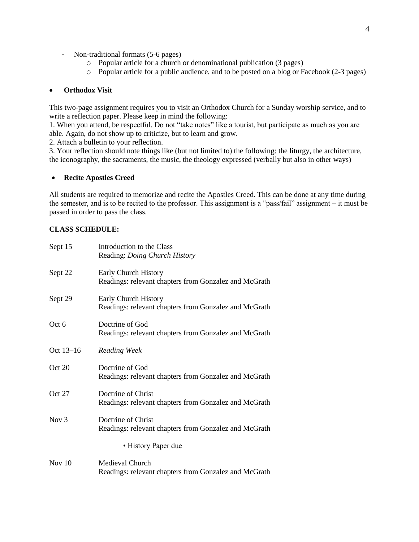- Non-traditional formats (5-6 pages)
	- o Popular article for a church or denominational publication (3 pages)
	- o Popular article for a public audience, and to be posted on a blog or Facebook (2-3 pages)

#### **Orthodox Visit**

This two-page assignment requires you to visit an Orthodox Church for a Sunday worship service, and to write a reflection paper. Please keep in mind the following:

1. When you attend, be respectful. Do not "take notes" like a tourist, but participate as much as you are able. Again, do not show up to criticize, but to learn and grow.

2. Attach a bulletin to your reflection.

3. Your reflection should note things like (but not limited to) the following: the liturgy, the architecture, the iconography, the sacraments, the music, the theology expressed (verbally but also in other ways)

#### **Recite Apostles Creed**

All students are required to memorize and recite the Apostles Creed. This can be done at any time during the semester, and is to be recited to the professor. This assignment is a "pass/fail" assignment – it must be passed in order to pass the class.

#### **CLASS SCHEDULE:**

| Sept 15          | Introduction to the Class                             |
|------------------|-------------------------------------------------------|
|                  | Reading: Doing Church History                         |
| Sept 22          | Early Church History                                  |
|                  | Readings: relevant chapters from Gonzalez and McGrath |
| Sept 29          | Early Church History                                  |
|                  | Readings: relevant chapters from Gonzalez and McGrath |
| Oct 6            | Doctrine of God                                       |
|                  | Readings: relevant chapters from Gonzalez and McGrath |
| Oct 13-16        | Reading Week                                          |
| Oct 20           | Doctrine of God                                       |
|                  | Readings: relevant chapters from Gonzalez and McGrath |
| Oct 27           | Doctrine of Christ                                    |
|                  | Readings: relevant chapters from Gonzalez and McGrath |
| Nov <sub>3</sub> | Doctrine of Christ                                    |
|                  | Readings: relevant chapters from Gonzalez and McGrath |
|                  | • History Paper due                                   |
| Nov $10$         | Medieval Church                                       |
|                  | Readings: relevant chapters from Gonzalez and McGrath |